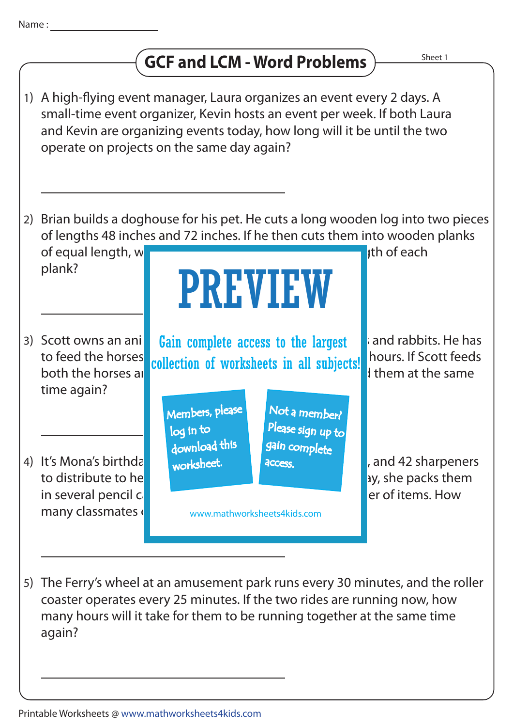

## **GCF and LCM - Word Problems**

- 1) A high-flying event manager, Laura organizes an event every 2 days. A small-time event organizer, Kevin hosts an event per week. If both Laura and Kevin are organizing events today, how long will it be until the two operate on projects on the same day again?
- 2) Brian builds a doghouse for his pet. He cuts a long wooden log into two pieces of lengths 48 inches and 72 inches. If he then cuts them into wooden planks of equal length, when we the greatest possible length of each  $\frac{1}{2}$  ith of each

PREVIEW

plank?

both the horses at **rabbits at 8. 00 am** rabbits at 8. 00 am, when at the same time again? 3) Scott owns an ani

to distribute to her classmates. Before she gives them away, she packs them in several pencil cases, each case holding the same number of items. How many classmates do 4) It's Mona's birthda

Scott owns an animal **Gain complete access to the largest** and rabbits. He has to feed the horses collection of worksheets in all subjects! hours. If Scott feeds

> Members, please download this worksheet. log in to

Not a member? gain complete Please sign up to **access** 

www.mathworksheets4kids.com

, and 42 sharpeners

The Ferry's wheel at an amusement park runs every 30 minutes, and the roller 5) coaster operates every 25 minutes. If the two rides are running now, how many hours will it take for them to be running together at the same time again?